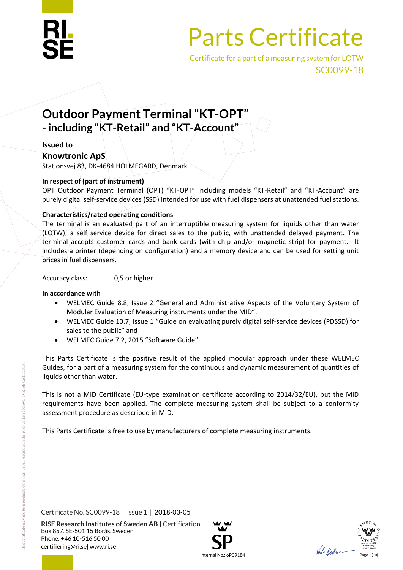

Certificate for a part of a measuring system for LOTW SC0099-18

## **Outdoor Payment Terminal "KT-OPT" - including "KT-Retail" and "KT-Account"**

#### **Issued to**

#### **Knowtronic ApS**

Stationsvej 83, DK-4684 HOLMEGARD, Denmark

#### **In respect of (part of instrument)**

OPT Outdoor Payment Terminal (OPT) "KT-OPT" including models "KT-Retail" and "KT-Account" are purely digital self-service devices (SSD) intended for use with fuel dispensers at unattended fuel stations.

#### **Characteristics/rated operating conditions**

The terminal is an evaluated part of an interruptible measuring system for liquids other than water (LOTW), a self service device for direct sales to the public, with unattended delayed payment. The terminal accepts customer cards and bank cards (with chip and/or magnetic strip) for payment. It includes a printer (depending on configuration) and a memory device and can be used for setting unit prices in fuel dispensers.

Accuracy class: 0,5 or higher

#### **In accordance with**

- WELMEC Guide 8.8, Issue 2 "General and Administrative Aspects of the Voluntary System of Modular Evaluation of Measuring instruments under the MID",
- WELMEC Guide 10.7, Issue 1 "Guide on evaluating purely digital self-service devices (PDSSD) for sales to the public" and
- WELMEC Guide 7.2, 2015 "Software Guide".

This Parts Certificate is the positive result of the applied modular approach under these WELMEC Guides, for a part of a measuring system for the continuous and dynamic measurement of quantities of liquids other than water.

This is not a MID Certificate (EU-type examination certificate according to 2014/32/EU), but the MID requirements have been applied. The complete measuring system shall be subject to a conformity assessment procedure as described in MID.

This Parts Certificate is free to use by manufacturers of complete measuring instruments.

Certificate No. SC0099-18 | issue 1 | 2018-03-05



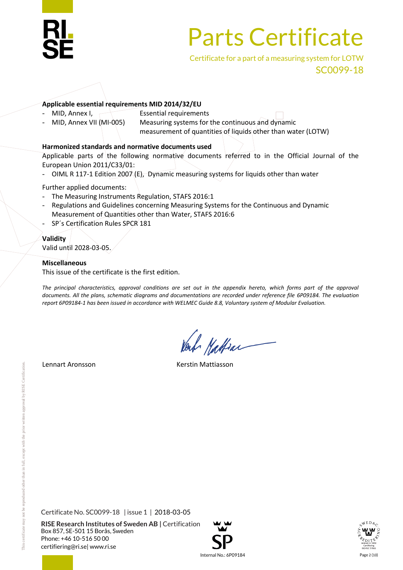

Certificate for a part of a measuring system for LOTW SC0099-18

#### **Applicable essential requirements MID 2014/32/EU**

- MID, Annex I, Essential requirements
	- MID, Annex VII (MI-005) Measuring systems for the continuous and dynamic
		- measurement of quantities of liquids other than water (LOTW)

#### **Harmonized standards and normative documents used**

Applicable parts of the following normative documents referred to in the Official Journal of the European Union 2011/C33/01:

- OIML R 117-1 Edition 2007  $(E)$ , Dynamic measuring systems for liquids other than water

Further applied documents:

- The Measuring Instruments Regulation, STAFS 2016:1
- Regulations and Guidelines concerning Measuring Systems for the Continuous and Dynamic Measurement of Quantities other than Water, STAFS 2016:6
- SP's Certification Rules SPCR 181

#### **Validity**

Valid until 2028-03-05.

#### **Miscellaneous**

This issue of the certificate is the first edition.

The principal characteristics, approval conditions are set out in the appendix hereto, which forms part of the approval *documents. All the plans, schematic diagrams and documentations are recorded under reference file 6P09184. The evaluation report 6P09184-1 has been issued in accordance with WELMEC Guide 8.8, Voluntary system of Modular Evaluation.*

Mattrac

Lennart Aronsson **Kerstin Mattiasson** 

Certificate No. SC0099-18 | issue 1 | 2018-03-05

**RISE Research Institutes of Sweden AB |** Certification Box 857, SE-501 15 Borås, Sweden Phone: +46 10-516 50 00 [certifiering@ri.se|](mailto:certifiering@ri.se) www.ri.se





 $\ln$ ternal No.: 6P09184 Page 2 (10)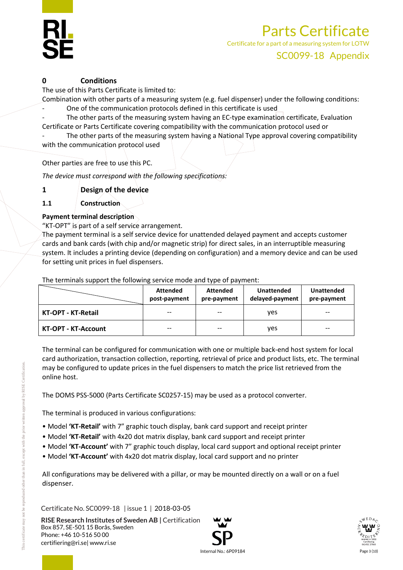#### **0 Conditions**

The use of this Parts Certificate is limited to:

Combination with other parts of a measuring system (e.g. fuel dispenser) under the following conditions: - One of the communication protocols defined in this certificate is used

The other parts of the measuring system having an EC-type examination certificate, Evaluation

Certificate or Parts Certificate covering compatibility with the communication protocol used or The other parts of the measuring system having a National Type approval covering compatibility

with the communication protocol used

Other parties are free to use this PC.

*The device must correspond with the following specifications:*

**1 Design of the device**

**1.1 Construction**

#### **Payment terminal description**

"KT-OPT" is part of a self service arrangement.

The payment terminal is a self service device for unattended delayed payment and accepts customer cards and bank cards (with chip and/or magnetic strip) for direct sales, in an interruptible measuring system. It includes a printing device (depending on configuration) and a memory device and can be used for setting unit prices in fuel dispensers.

The terminals support the following service mode and type of payment:

|                            | <b>Attended</b><br>post-payment | <b>Attended</b><br>pre-payment | <b>Unattended</b><br>delayed-payment | <b>Unattended</b><br>pre-payment |
|----------------------------|---------------------------------|--------------------------------|--------------------------------------|----------------------------------|
| <b>KT-OPT - KT-Retail</b>  |                                 | $- -$                          | ves                                  | $- -$                            |
| <b>KT-OPT - KT-Account</b> | $-$                             | $- -$                          | <b>ves</b>                           | $- -$                            |

The terminal can be configured for communication with one or multiple back-end host system for local card authorization, transaction collection, reporting, retrieval of price and product lists, etc. The terminal may be configured to update prices in the fuel dispensers to match the price list retrieved from the online host.

The DOMS PSS-5000 (Parts Certificate SC0257-15) may be used as a protocol converter.

The terminal is produced in various configurations:

- Model **'KT-Retail'** with 7" graphic touch display, bank card support and receipt printer
- Model **'KT-Retail'** with 4x20 dot matrix display, bank card support and receipt printer
- Model **'KT-Account'** with 7" graphic touch display, local card support and optional receipt printer
- Model **'KT-Account'** with 4x20 dot matrix display, local card support and no printer

All configurations may be delivered with a pillar, or may be mounted directly on a wall or on a fuel dispenser.

Certificate No. SC0099-18 | issue 1 | 2018-03-05



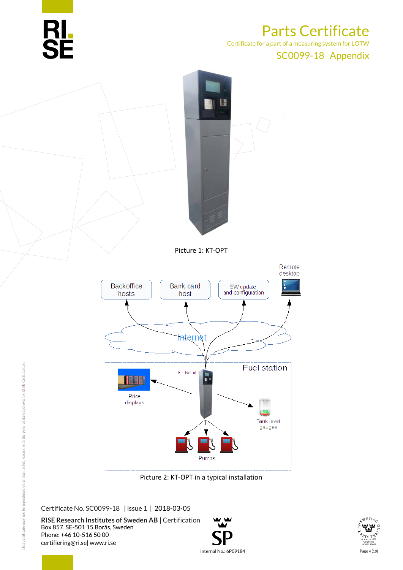

Certificate for a part of a measuring system for LOTW

#### SC0099-18 Appendix



Picture 2: KT-OPT in a typical installation

Certificate No. SC0099-18 | issue 1 | 2018-03-05



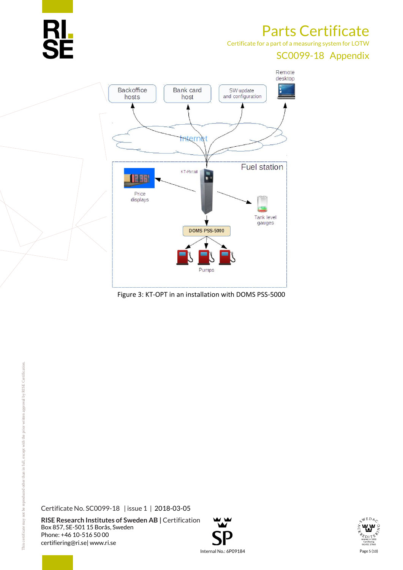

Certificate for a part of a measuring system for LOTW

### SC0099-18 Appendix



Figure 3: KT-OPT in an installation with DOMS PSS-5000

Certificate No. SC0099-18 | issue 1 | 2018-03-05



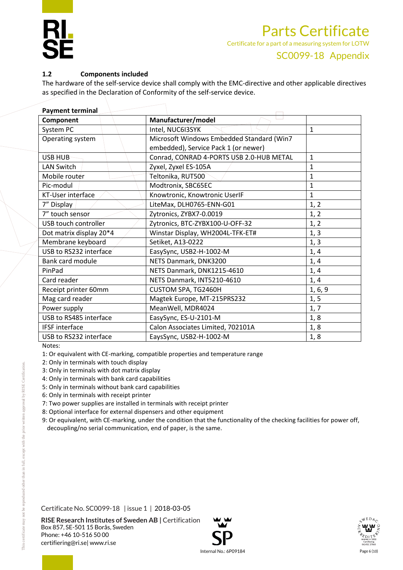#### **1.2 Components included**

The hardware of the self-service device shall comply with the EMC-directive and other applicable directives as specified in the Declaration of Conformity of the self-service device.

| <b>Payment terminal</b>         |                                           |              |  |  |
|---------------------------------|-------------------------------------------|--------------|--|--|
| Manufacturer/model<br>Component |                                           |              |  |  |
| System PC                       | Intel, NUC6I3SYK                          | $\mathbf{1}$ |  |  |
| Operating system                | Microsoft Windows Embedded Standard (Win7 |              |  |  |
|                                 | embedded), Service Pack 1 (or newer)      |              |  |  |
| <b>USB HUB</b>                  | Conrad, CONRAD 4-PORTS USB 2.0-HUB METAL  | 1            |  |  |
| <b>LAN Switch</b>               | Zyxel, Zyxel ES-105A                      | $\mathbf{1}$ |  |  |
| Mobile router                   | Teltonika, RUT500                         | $\mathbf{1}$ |  |  |
| Pic-modul                       | Modtronix, SBC65EC                        | 1            |  |  |
| KT-User interface               | Knowtronic, Knowtronic UserIF             | 1            |  |  |
| 7" Display                      | LiteMax, DLH0765-ENN-G01                  | 1, 2         |  |  |
| 7" touch sensor                 | Zytronics, ZYBX7-0.0019                   | 1, 2         |  |  |
| USB touch controller            | Zytronics, BTC-ZYBX100-U-OFF-32           | 1, 2         |  |  |
| Dot matrix display 20*4         | Winstar Display, WH2004L-TFK-ET#          | 1, 3         |  |  |
| Membrane keyboard               | Setiket, A13-0222                         | 1, 3         |  |  |
| USB to RS232 interface          | EasySync, USB2-H-1002-M                   | 1, 4         |  |  |
| <b>Bank card module</b>         | NETS Danmark, DNK3200                     | 1, 4         |  |  |
| PinPad                          | NETS Danmark, DNK1215-4610                | 1, 4         |  |  |
| Card reader                     | NETS Danmark, INT5210-4610                | 1, 4         |  |  |
| Receipt printer 60mm            | CUSTOM SPA, TG2460H                       | 1, 6, 9      |  |  |
| Mag card reader                 | Magtek Europe, MT-215PRS232               | 1, 5         |  |  |
| Power supply                    | MeanWell, MDR4024                         | 1, 7         |  |  |
| USB to RS485 interface          | EasySync, ES-U-2101-M                     | 1, 8         |  |  |
| <b>IFSF</b> interface           | Calon Associates Limited, 702101A         | 1, 8         |  |  |
| USB to RS232 interface          | EaysSync, USB2-H-1002-M                   | 1, 8         |  |  |

Notes:

1: Or equivalent with CE-marking, compatible properties and temperature range

- 2: Only in terminals with touch display
- 3: Only in terminals with dot matrix display
- 4: Only in terminals with bank card capabilities
- 5: Only in terminals without bank card capabilities
- 6: Only in terminals with receipt printer
- 7: Two power supplies are installed in terminals with receipt printer
- 8: Optional interface for external dispensers and other equipment
- 9: Or equivalent, with CE-marking, under the condition that the functionality of the checking facilities for power off, decoupling/no serial communication, end of paper, is the same.

Certificate No. SC0099-18 | issue 1 | 2018-03-05



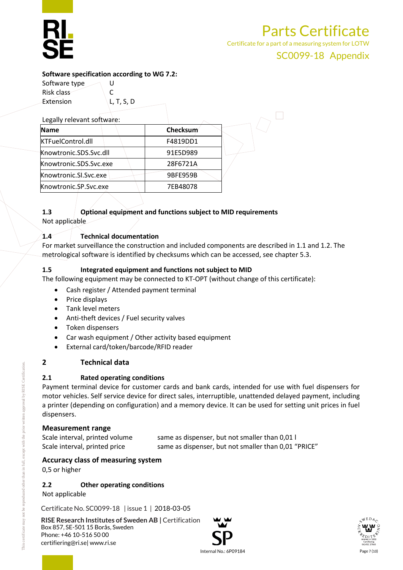Certificate for a part of a measuring system for LOTW

#### SC0099-18 Appendix

#### **Software specification according to WG 7.2:**

Software type  $\bigcup$  U Risk class C

| Extension                  | L, T, S, D |          |  |
|----------------------------|------------|----------|--|
| Legally relevant software: |            |          |  |
| <b>Name</b>                |            | Checksum |  |
| KTFuelControl.dll          |            | F4819DD1 |  |
| Knowtronic.SDS.Svc.dll     |            | 91E5D989 |  |
| Knowtronic.SDS.Svc.exe     |            | 28F6721A |  |
| Knowtronic.Sl.Svc.exe      |            | 9BFE959B |  |
| Knowtronic.SP.Svc.exe      |            | 7EB48078 |  |
|                            |            |          |  |

### **1.3 Optional equipment and functions subject to MID requirements**

Not applicable

#### **1.4 Technical documentation**

For market surveillance the construction and included components are described in 1.1 and 1.2. The metrological software is identified by checksums which can be accessed, see chapter 5.3.

#### **1.5 Integrated equipment and functions not subject to MID**

The following equipment may be connected to KT-OPT (without change of this certificate):

- Cash register / Attended payment terminal
- $\bullet$  Price displays
- Tank level meters
- Anti-theft devices / Fuel security valves
- Token dispensers
- Car wash equipment / Other activity based equipment
- External card/token/barcode/RFID reader

#### **2 Technical data**

#### **2.1 Rated operating conditions**

Payment terminal device for customer cards and bank cards, intended for use with fuel dispensers for motor vehicles. Self service device for direct sales, interruptible, unattended delayed payment, including a printer (depending on configuration) and a memory device. It can be used for setting unit prices in fuel dispensers.

#### **Measurement range**

Scale interval, printed volume same as dispenser, but not smaller than 0,01 l Scale interval, printed price same as dispenser, but not smaller than 0,01 "PRICE"

#### **Accuracy class of measuring system**

0,5 or higher

#### **2.2 Other operating conditions**

Not applicable

Certificate No. SC0099-18 | issue 1 | 2018-03-05



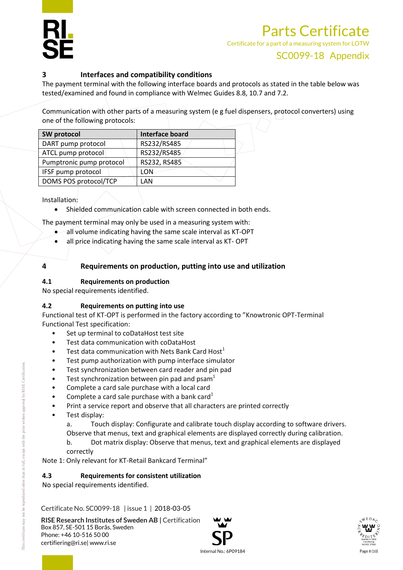Certificate for a part of a measuring system for LOTW

#### **3 Interfaces and compatibility conditions**

The payment terminal with the following interface boards and protocols as stated in the table below was tested/examined and found in compliance with Welmec Guides 8.8, 10.7 and 7.2.

Communication with other parts of a measuring system (e g fuel dispensers, protocol converters) using one of the following protocols:

| SW protocol              | <b>Interface board</b> |  |
|--------------------------|------------------------|--|
| DART pump protocol       | RS232/RS485            |  |
| ATCL pump protocol       | RS232/RS485            |  |
| Pumptronic pump protocol | RS232, RS485           |  |
| IFSF pump protocol       | LON                    |  |
| DOMS POS protocol/TCP    | LAN                    |  |
|                          |                        |  |

Installation:

Shielded communication cable with screen connected in both ends.

The payment terminal may only be used in a measuring system with:

- all volume indicating having the same scale interval as KT-OPT
- all price indicating having the same scale interval as KT- OPT

#### **4 Requirements on production, putting into use and utilization**

#### **4.1 Requirements on production**

No special requirements identified.

#### **4.2 Requirements on putting into use**

Functional test of KT-OPT is performed in the factory according to "Knowtronic OPT-Terminal Functional Test specification:

- Set up terminal to coDataHost test site
- Test data communication with coDataHost
- Test data communication with Nets Bank Card Host $<sup>1</sup>$ </sup>
- Test pump authorization with pump interface simulator
- Test synchronization between card reader and pin pad
- Test synchronization between pin pad and psam<sup>1</sup>
- Complete a card sale purchase with a local card
- Complete a card sale purchase with a bank card<sup>1</sup>
- Print a service report and observe that all characters are printed correctly
- Test display:
	- a. Touch display: Configurate and calibrate touch display according to software drivers. Observe that menus, text and graphical elements are displayed correctly during calibration.
	- b. Dot matrix display: Observe that menus, text and graphical elements are displayed correctly

Note 1: Only relevant for KT-Retail Bankcard Terminal"

#### **4.3 Requirements for consistent utilization**

No special requirements identified.

Certificate No. SC0099-18 | issue 1 | 2018-03-05



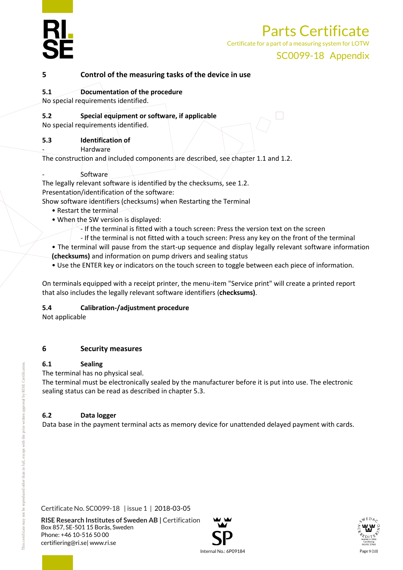

Certificate for a part of a measuring system for LOTW

#### SC0099-18 Appendix

#### **5 Control of the measuring tasks of the device in use**

#### **5.1 Documentation of the procedure**

No special requirements identified.

#### **5.2 Special equipment or software, if applicable**

No special requirements identified.

#### **5.3 Identification of**

**Hardware** 

The construction and included components are described, see chapter 1.1 and 1.2.

**Software** 

The legally relevant software is identified by the checksums, see 1.2. Presentation/identification of the software:

Show software identifiers (checksums) when Restarting the Terminal

- Restart the terminal
- When the SW version is displayed:
	- $\overline{\cdot}$  If the terminal is fitted with a touch screen: Press the version text on the screen
	- If the terminal is not fitted with a touch screen: Press any key on the front of the terminal
- The terminal will pause from the start-up sequence and display legally relevant software information **(checksums)** and information on pump drivers and sealing status
- Use the ENTER key or indicators on the touch screen to toggle between each piece of information.

On terminals equipped with a receipt printer, the menu-item "Service print" will create a printed report that also includes the legally relevant software identifiers (**checksums)**.

#### **5.4 Calibration-/adjustment procedure**

Not applicable

#### **6 Security measures**

#### **6.1 Sealing**

The terminal has no physical seal.

The terminal must be electronically sealed by the manufacturer before it is put into use. The electronic sealing status can be read as described in chapter 5.3.

#### **6.2 Data logger**

Data base in the payment terminal acts as memory device for unattended delayed payment with cards.